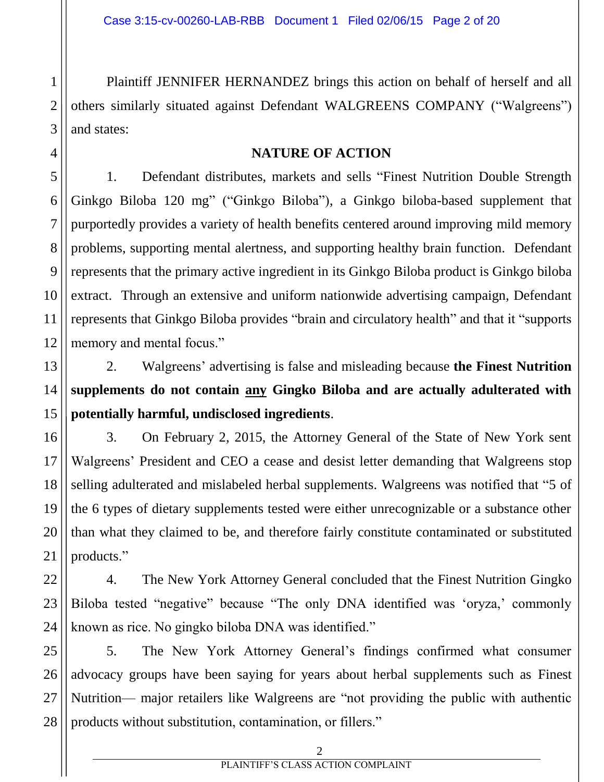Plaintiff JENNIFER HERNANDEZ brings this action on behalf of herself and all others similarly situated against Defendant WALGREENS COMPANY ("Walgreens") and states:

## **NATURE OF ACTION**

1. Defendant distributes, markets and sells "Finest Nutrition Double Strength Ginkgo Biloba 120 mg" ("Ginkgo Biloba"), a Ginkgo biloba-based supplement that purportedly provides a variety of health benefits centered around improving mild memory problems, supporting mental alertness, and supporting healthy brain function. Defendant represents that the primary active ingredient in its Ginkgo Biloba product is Ginkgo biloba extract. Through an extensive and uniform nationwide advertising campaign, Defendant represents that Ginkgo Biloba provides "brain and circulatory health" and that it "supports memory and mental focus."

2. Walgreens' advertising is false and misleading because **the Finest Nutrition supplements do not contain any Gingko Biloba and are actually adulterated with potentially harmful, undisclosed ingredients**.

3. On February 2, 2015, the Attorney General of the State of New York sent Walgreens' President and CEO a cease and desist letter demanding that Walgreens stop selling adulterated and mislabeled herbal supplements. Walgreens was notified that "5 of the 6 types of dietary supplements tested were either unrecognizable or a substance other than what they claimed to be, and therefore fairly constitute contaminated or substituted products."

4. The New York Attorney General concluded that the Finest Nutrition Gingko Biloba tested "negative" because "The only DNA identified was 'oryza,' commonly known as rice. No gingko biloba DNA was identified."

5. The New York Attorney General's findings confirmed what consumer advocacy groups have been saying for years about herbal supplements such as Finest Nutrition— major retailers like Walgreens are "not providing the public with authentic products without substitution, contamination, or fillers."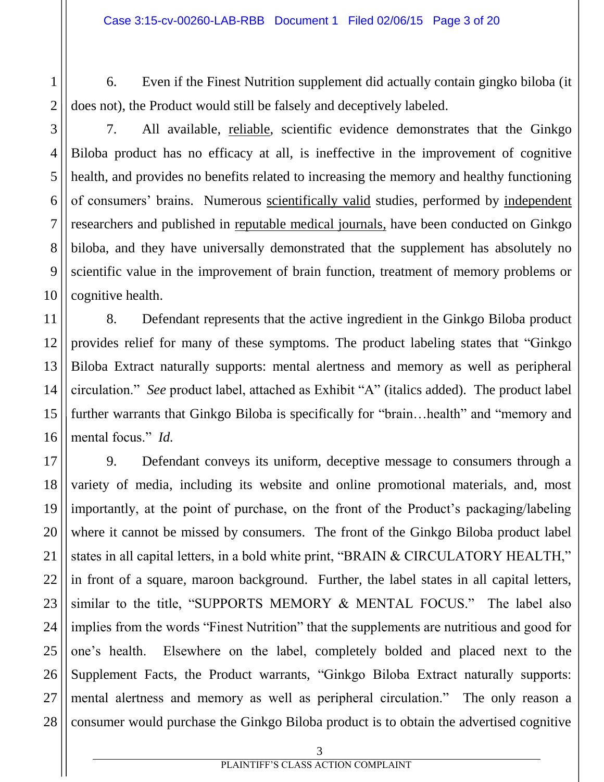- 6. Even if the Finest Nutrition supplement did actually contain gingko biloba (it does not), the Product would still be falsely and deceptively labeled.
	-

1

2

3

4

5

6

7

8

9

10

11

7. All available, reliable, scientific evidence demonstrates that the Ginkgo Biloba product has no efficacy at all, is ineffective in the improvement of cognitive health, and provides no benefits related to increasing the memory and healthy functioning of consumers' brains. Numerous scientifically valid studies, performed by independent researchers and published in reputable medical journals, have been conducted on Ginkgo biloba, and they have universally demonstrated that the supplement has absolutely no scientific value in the improvement of brain function, treatment of memory problems or cognitive health.

12 13 14 15 16 8. Defendant represents that the active ingredient in the Ginkgo Biloba product provides relief for many of these symptoms. The product labeling states that "Ginkgo Biloba Extract naturally supports: mental alertness and memory as well as peripheral circulation." *See* product label, attached as Exhibit "A" (italics added). The product label further warrants that Ginkgo Biloba is specifically for "brain...health" and "memory and mental focus." *Id.*

17 18 19 20 21 22 23 24 25 26 27 28 9. Defendant conveys its uniform, deceptive message to consumers through a variety of media, including its website and online promotional materials, and, most importantly, at the point of purchase, on the front of the Product's packaging/labeling where it cannot be missed by consumers. The front of the Ginkgo Biloba product label states in all capital letters, in a bold white print, "BRAIN & CIRCULATORY HEALTH," in front of a square, maroon background. Further, the label states in all capital letters, similar to the title, "SUPPORTS MEMORY & MENTAL FOCUS." The label also implies from the words "Finest Nutrition" that the supplements are nutritious and good for one's health. Elsewhere on the label, completely bolded and placed next to the Supplement Facts, the Product warrants, "Ginkgo Biloba Extract naturally supports: mental alertness and memory as well as peripheral circulation." The only reason a consumer would purchase the Ginkgo Biloba product is to obtain the advertised cognitive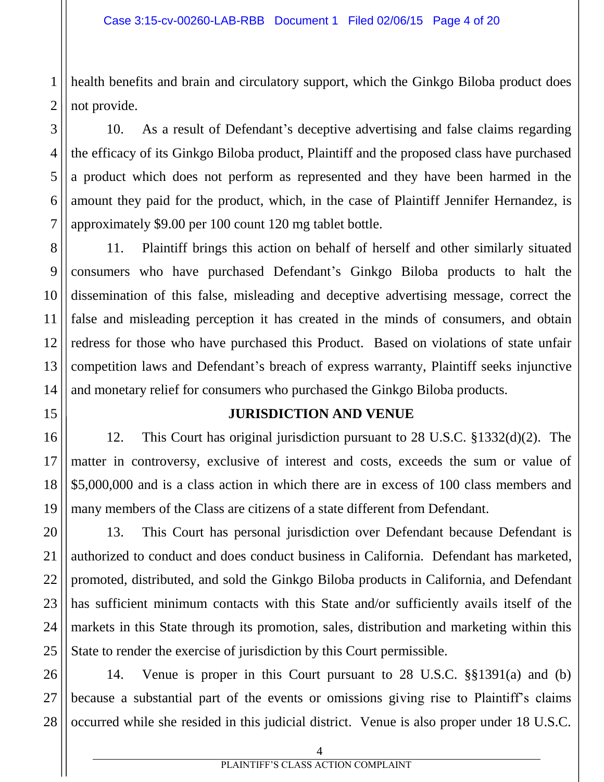1 health benefits and brain and circulatory support, which the Ginkgo Biloba product does not provide.

10. As a result of Defendant's deceptive advertising and false claims regarding the efficacy of its Ginkgo Biloba product, Plaintiff and the proposed class have purchased a product which does not perform as represented and they have been harmed in the amount they paid for the product, which, in the case of Plaintiff Jennifer Hernandez, is approximately \$9.00 per 100 count 120 mg tablet bottle.

11. Plaintiff brings this action on behalf of herself and other similarly situated consumers who have purchased Defendant's Ginkgo Biloba products to halt the dissemination of this false, misleading and deceptive advertising message, correct the false and misleading perception it has created in the minds of consumers, and obtain redress for those who have purchased this Product. Based on violations of state unfair competition laws and Defendant's breach of express warranty, Plaintiff seeks injunctive and monetary relief for consumers who purchased the Ginkgo Biloba products.

## **JURISDICTION AND VENUE**

12. This Court has original jurisdiction pursuant to 28 U.S.C. §1332(d)(2). The matter in controversy, exclusive of interest and costs, exceeds the sum or value of \$5,000,000 and is a class action in which there are in excess of 100 class members and many members of the Class are citizens of a state different from Defendant.

13. This Court has personal jurisdiction over Defendant because Defendant is authorized to conduct and does conduct business in California. Defendant has marketed, promoted, distributed, and sold the Ginkgo Biloba products in California, and Defendant has sufficient minimum contacts with this State and/or sufficiently avails itself of the markets in this State through its promotion, sales, distribution and marketing within this State to render the exercise of jurisdiction by this Court permissible.

14. Venue is proper in this Court pursuant to 28 U.S.C. §§1391(a) and (b) because a substantial part of the events or omissions giving rise to Plaintiff's claims occurred while she resided in this judicial district. Venue is also proper under 18 U.S.C.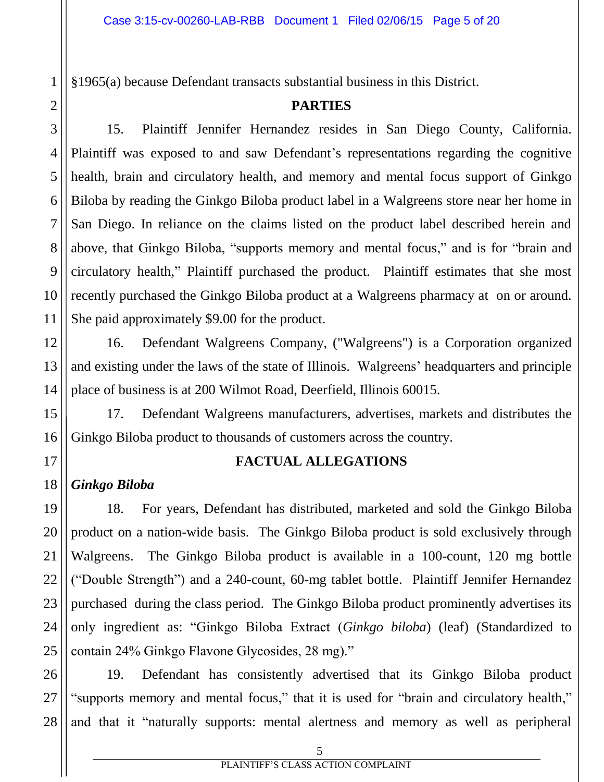§1965(a) because Defendant transacts substantial business in this District.

#### **PARTIES**

15. Plaintiff Jennifer Hernandez resides in San Diego County, California. Plaintiff was exposed to and saw Defendant's representations regarding the cognitive health, brain and circulatory health, and memory and mental focus support of Ginkgo Biloba by reading the Ginkgo Biloba product label in a Walgreens store near her home in San Diego. In reliance on the claims listed on the product label described herein and above, that Ginkgo Biloba, "supports memory and mental focus," and is for "brain and circulatory health," Plaintiff purchased the product. Plaintiff estimates that she most recently purchased the Ginkgo Biloba product at a Walgreens pharmacy at on or around. She paid approximately \$9.00 for the product.

16. Defendant Walgreens Company, ("Walgreens") is a Corporation organized and existing under the laws of the state of Illinois. Walgreens' headquarters and principle place of business is at 200 Wilmot Road, Deerfield, Illinois 60015.

17. Defendant Walgreens manufacturers, advertises, markets and distributes the Ginkgo Biloba product to thousands of customers across the country.

## **FACTUAL ALLEGATIONS**

# *Ginkgo Biloba*

18. For years, Defendant has distributed, marketed and sold the Ginkgo Biloba product on a nation-wide basis. The Ginkgo Biloba product is sold exclusively through Walgreens. The Ginkgo Biloba product is available in a 100-count, 120 mg bottle ("Double Strength") and a 240-count, 60-mg tablet bottle. Plaintiff Jennifer Hernandez purchased during the class period. The Ginkgo Biloba product prominently advertises its only ingredient as: "Ginkgo Biloba Extract (*Ginkgo biloba*) (leaf) (Standardized to contain 24% Ginkgo Flavone Glycosides, 28 mg)."

19. Defendant has consistently advertised that its Ginkgo Biloba product "supports memory and mental focus," that it is used for "brain and circulatory health," and that it "naturally supports: mental alertness and memory as well as peripheral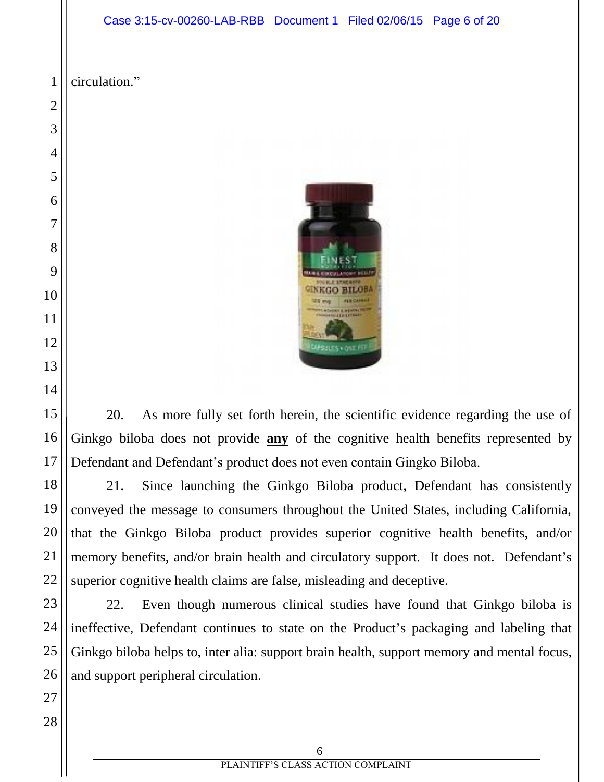#### Case 3:15-cv-00260-LAB-RBB Document 1 Filed 02/06/15 Page 6 of 20

 circulation."



20. As more fully set forth herein, the scientific evidence regarding the use of Ginkgo biloba does not provide **any** of the cognitive health benefits represented by Defendant and Defendant's product does not even contain Gingko Biloba.

21. Since launching the Ginkgo Biloba product, Defendant has consistently conveyed the message to consumers throughout the United States, including California, that the Ginkgo Biloba product provides superior cognitive health benefits, and/or memory benefits, and/or brain health and circulatory support. It does not. Defendant's superior cognitive health claims are false, misleading and deceptive.

22. Even though numerous clinical studies have found that Ginkgo biloba is ineffective, Defendant continues to state on the Product's packaging and labeling that Ginkgo biloba helps to, inter alia: support brain health, support memory and mental focus, and support peripheral circulation.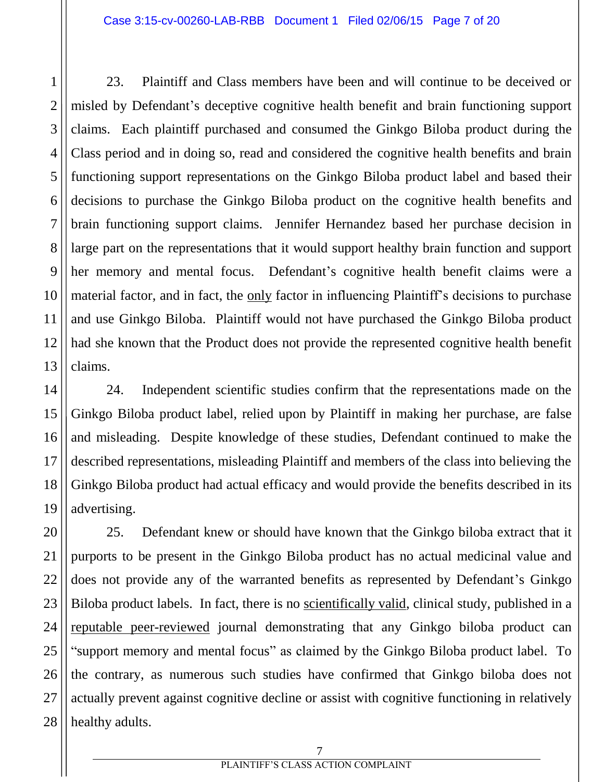1

2

3

4

5

6

7

8

9

10

11

12

13

23. Plaintiff and Class members have been and will continue to be deceived or misled by Defendant's deceptive cognitive health benefit and brain functioning support claims. Each plaintiff purchased and consumed the Ginkgo Biloba product during the Class period and in doing so, read and considered the cognitive health benefits and brain functioning support representations on the Ginkgo Biloba product label and based their decisions to purchase the Ginkgo Biloba product on the cognitive health benefits and brain functioning support claims. Jennifer Hernandez based her purchase decision in large part on the representations that it would support healthy brain function and support her memory and mental focus. Defendant's cognitive health benefit claims were a material factor, and in fact, the only factor in influencing Plaintiff's decisions to purchase and use Ginkgo Biloba. Plaintiff would not have purchased the Ginkgo Biloba product had she known that the Product does not provide the represented cognitive health benefit claims.

14 15 16 17 18 19 24. Independent scientific studies confirm that the representations made on the Ginkgo Biloba product label, relied upon by Plaintiff in making her purchase, are false and misleading. Despite knowledge of these studies, Defendant continued to make the described representations, misleading Plaintiff and members of the class into believing the Ginkgo Biloba product had actual efficacy and would provide the benefits described in its advertising.

20 21 22 23 24 25 26 27 28 25. Defendant knew or should have known that the Ginkgo biloba extract that it purports to be present in the Ginkgo Biloba product has no actual medicinal value and does not provide any of the warranted benefits as represented by Defendant's Ginkgo Biloba product labels. In fact, there is no scientifically valid, clinical study, published in a reputable peer-reviewed journal demonstrating that any Ginkgo biloba product can "support memory and mental focus" as claimed by the Ginkgo Biloba product label. To the contrary, as numerous such studies have confirmed that Ginkgo biloba does not actually prevent against cognitive decline or assist with cognitive functioning in relatively healthy adults.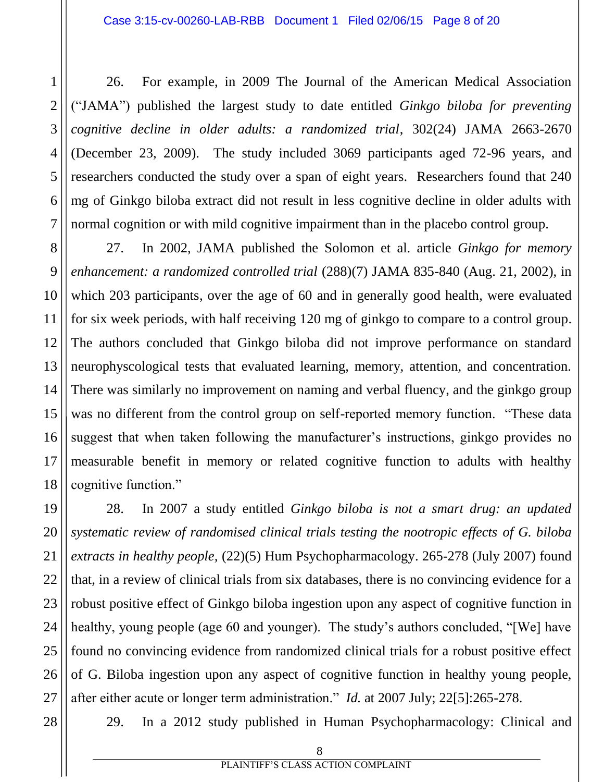26. For example, in 2009 The Journal of the American Medical Association ("JAMA") published the largest study to date entitled *Ginkgo biloba for preventing cognitive decline in older adults: a randomized trial*, 302(24) JAMA 2663-2670 (December 23, 2009). The study included 3069 participants aged 72-96 years, and researchers conducted the study over a span of eight years. Researchers found that 240 mg of Ginkgo biloba extract did not result in less cognitive decline in older adults with normal cognition or with mild cognitive impairment than in the placebo control group.

8 9 10 12 13 14 15 16 17 18 27. In 2002, JAMA published the Solomon et al. article *Ginkgo for memory enhancement: a randomized controlled trial* (288)(7) JAMA 835-840 (Aug. 21, 2002), in which 203 participants, over the age of 60 and in generally good health, were evaluated for six week periods, with half receiving 120 mg of ginkgo to compare to a control group. The authors concluded that Ginkgo biloba did not improve performance on standard neurophyscological tests that evaluated learning, memory, attention, and concentration. There was similarly no improvement on naming and verbal fluency, and the ginkgo group was no different from the control group on self-reported memory function. "These data suggest that when taken following the manufacturer's instructions, ginkgo provides no measurable benefit in memory or related cognitive function to adults with healthy cognitive function."

19 20 22 23 24 25 26 28. In 2007 a study entitled *Ginkgo biloba is not a smart drug: an updated systematic review of randomised clinical trials testing the nootropic effects of G. biloba extracts in healthy people,* (22)(5) Hum Psychopharmacology. 265-278 (July 2007) found that, in a review of clinical trials from six databases, there is no convincing evidence for a robust positive effect of Ginkgo biloba ingestion upon any aspect of cognitive function in healthy, young people (age 60 and younger). The study's authors concluded, "[We] have found no convincing evidence from randomized clinical trials for a robust positive effect of G. Biloba ingestion upon any aspect of cognitive function in healthy young people, after either acute or longer term administration." *Id.* at 2007 July; 22[5]:265-278.

28

27

21

1

2

3

4

5

6

7

11

29. In a 2012 study published in Human Psychopharmacology: Clinical and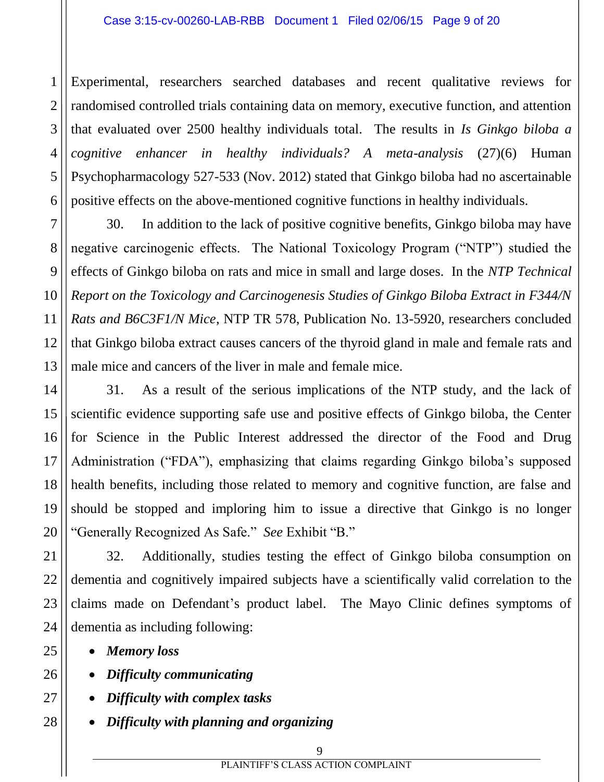2 3 4 5 6 Experimental, researchers searched databases and recent qualitative reviews for randomised controlled trials containing data on memory, executive function, and attention that evaluated over 2500 healthy individuals total. The results in *Is Ginkgo biloba a cognitive enhancer in healthy individuals? A meta-analysis* (27)(6) Human Psychopharmacology 527-533 (Nov. 2012) stated that Ginkgo biloba had no ascertainable positive effects on the above-mentioned cognitive functions in healthy individuals.

30. In addition to the lack of positive cognitive benefits, Ginkgo biloba may have negative carcinogenic effects. The National Toxicology Program ("NTP") studied the effects of Ginkgo biloba on rats and mice in small and large doses. In the *NTP Technical Report on the Toxicology and Carcinogenesis Studies of Ginkgo Biloba Extract in F344/N Rats and B6C3F1/N Mice*, NTP TR 578, Publication No. 13-5920, researchers concluded that Ginkgo biloba extract causes cancers of the thyroid gland in male and female rats and male mice and cancers of the liver in male and female mice.

14 16 31. As a result of the serious implications of the NTP study, and the lack of scientific evidence supporting safe use and positive effects of Ginkgo biloba, the Center for Science in the Public Interest addressed the director of the Food and Drug Administration ("FDA"), emphasizing that claims regarding Ginkgo biloba's supposed health benefits, including those related to memory and cognitive function, are false and should be stopped and imploring him to issue a directive that Ginkgo is no longer "Generally Recognized As Safe." *See* Exhibit "B."

32. Additionally, studies testing the effect of Ginkgo biloba consumption on dementia and cognitively impaired subjects have a scientifically valid correlation to the claims made on Defendant's product label. The Mayo Clinic defines symptoms of dementia as including following:

*Memory loss*

1

7

8

9

10

11

12

13

15

17

18

19

20

21

22

23

24

25

26

27

- *Difficulty communicating*
- *Difficulty with complex tasks*
- *Difficulty with planning and organizing*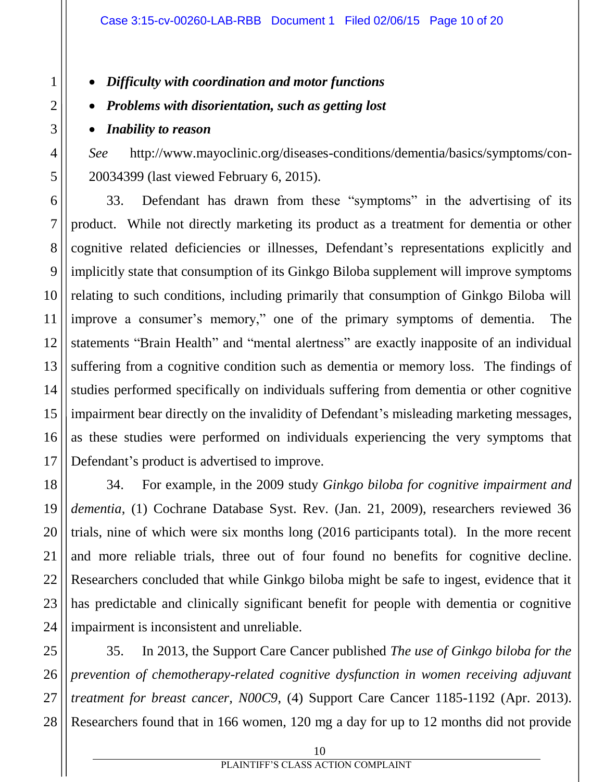## *Difficulty with coordination and motor functions*

#### *Problems with disorientation, such as getting lost*

*Inability to reason*

*See* http://www.mayoclinic.org/diseases-conditions/dementia/basics/symptoms/con-20034399 (last viewed February 6, 2015).

33. Defendant has drawn from these "symptoms" in the advertising of its product. While not directly marketing its product as a treatment for dementia or other cognitive related deficiencies or illnesses, Defendant's representations explicitly and implicitly state that consumption of its Ginkgo Biloba supplement will improve symptoms relating to such conditions, including primarily that consumption of Ginkgo Biloba will improve a consumer's memory," one of the primary symptoms of dementia. The statements "Brain Health" and "mental alertness" are exactly inapposite of an individual suffering from a cognitive condition such as dementia or memory loss. The findings of studies performed specifically on individuals suffering from dementia or other cognitive impairment bear directly on the invalidity of Defendant's misleading marketing messages, as these studies were performed on individuals experiencing the very symptoms that Defendant's product is advertised to improve.

34. For example, in the 2009 study *Ginkgo biloba for cognitive impairment and dementia*, (1) Cochrane Database Syst. Rev. (Jan. 21, 2009), researchers reviewed 36 trials, nine of which were six months long (2016 participants total). In the more recent and more reliable trials, three out of four found no benefits for cognitive decline. Researchers concluded that while Ginkgo biloba might be safe to ingest, evidence that it has predictable and clinically significant benefit for people with dementia or cognitive impairment is inconsistent and unreliable.

35. In 2013, the Support Care Cancer published *The use of Ginkgo biloba for the prevention of chemotherapy-related cognitive dysfunction in women receiving adjuvant treatment for breast cancer, N00C9*, (4) Support Care Cancer 1185-1192 (Apr. 2013). Researchers found that in 166 women, 120 mg a day for up to 12 months did not provide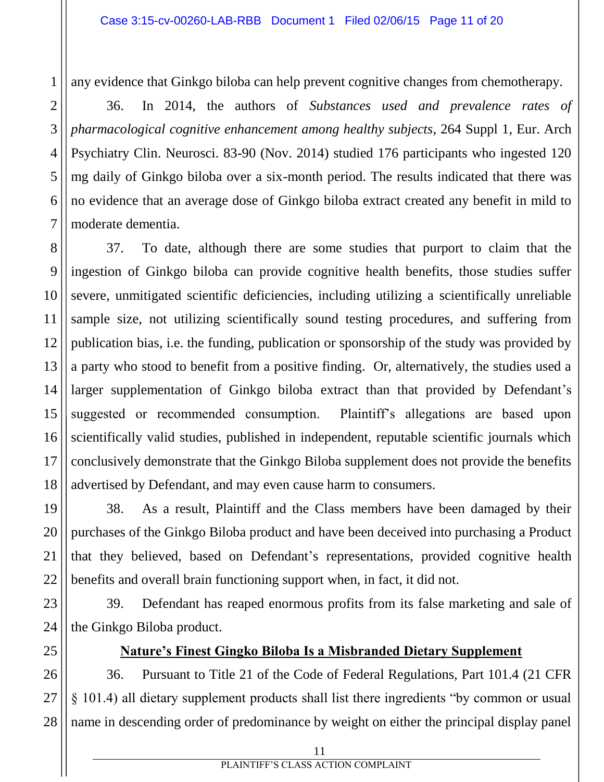any evidence that Ginkgo biloba can help prevent cognitive changes from chemotherapy.

36. In 2014, the authors of *Substances used and prevalence rates of pharmacological cognitive enhancement among healthy subjects*, 264 Suppl 1, Eur. Arch Psychiatry Clin. Neurosci. 83-90 (Nov. 2014) studied 176 participants who ingested 120 mg daily of Ginkgo biloba over a six-month period. The results indicated that there was no evidence that an average dose of Ginkgo biloba extract created any benefit in mild to moderate dementia.

37. To date, although there are some studies that purport to claim that the ingestion of Ginkgo biloba can provide cognitive health benefits, those studies suffer severe, unmitigated scientific deficiencies, including utilizing a scientifically unreliable sample size, not utilizing scientifically sound testing procedures, and suffering from publication bias, i.e. the funding, publication or sponsorship of the study was provided by a party who stood to benefit from a positive finding. Or, alternatively, the studies used a larger supplementation of Ginkgo biloba extract than that provided by Defendant's suggested or recommended consumption. Plaintiff's allegations are based upon scientifically valid studies, published in independent, reputable scientific journals which conclusively demonstrate that the Ginkgo Biloba supplement does not provide the benefits advertised by Defendant, and may even cause harm to consumers.

38. As a result, Plaintiff and the Class members have been damaged by their purchases of the Ginkgo Biloba product and have been deceived into purchasing a Product that they believed, based on Defendant's representations, provided cognitive health benefits and overall brain functioning support when, in fact, it did not.

39. Defendant has reaped enormous profits from its false marketing and sale of the Ginkgo Biloba product.

## **Nature's Finest Gingko Biloba Is a Misbranded Dietary Supplement**

36. Pursuant to Title 21 of the Code of Federal Regulations, Part 101.4 (21 CFR § 101.4) all dietary supplement products shall list there ingredients "by common or usual name in descending order of predominance by weight on either the principal display panel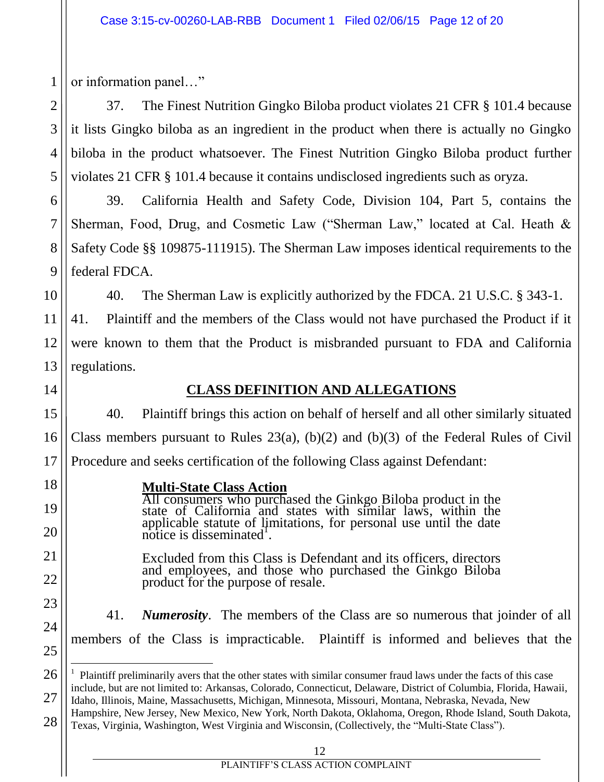or information panel…"

37. The Finest Nutrition Gingko Biloba product violates 21 CFR § 101.4 because it lists Gingko biloba as an ingredient in the product when there is actually no Gingko biloba in the product whatsoever. The Finest Nutrition Gingko Biloba product further violates 21 CFR § 101.4 because it contains undisclosed ingredients such as oryza.

39. California Health and Safety Code, Division 104, Part 5, contains the Sherman, Food, Drug, and Cosmetic Law ("Sherman Law," located at Cal. Heath & Safety Code §§ 109875-111915). The Sherman Law imposes identical requirements to the federal FDCA.

40. The Sherman Law is explicitly authorized by the FDCA. 21 U.S.C. § 343-1.

12 13 41. Plaintiff and the members of the Class would not have purchased the Product if it were known to them that the Product is misbranded pursuant to FDA and California regulations.

14

15

16

17

18

19

20

21

22

23

24

25

26

 $\overline{a}$ 

27

1

2

3

4

5

6

7

8

9

10

11

# **CLASS DEFINITION AND ALLEGATIONS**

40. Plaintiff brings this action on behalf of herself and all other similarly situated Class members pursuant to Rules  $23(a)$ ,  $(b)(2)$  and  $(b)(3)$  of the Federal Rules of Civil Procedure and seeks certification of the following Class against Defendant:

## **Multi-State Class Action**

All consumers who purchased the Ginkgo Biloba product in the state of California and states with similar laws, within the applicable statute of limitations, for personal use until the date approache statute of  $\prod$ 

Excluded from this Class is Defendant and its officers, directors and employees, and those who purchased the Ginkgo Biloba product for the purpose of resale.

41. *Numerosity*. The members of the Class are so numerous that joinder of all members of the Class is impracticable. Plaintiff is informed and believes that the

 $1$  Plaintiff preliminarily avers that the other states with similar consumer fraud laws under the facts of this case include, but are not limited to: Arkansas, Colorado, Connecticut, Delaware, District of Columbia, Florida, Hawaii, Idaho, Illinois, Maine, Massachusetts, Michigan, Minnesota, Missouri, Montana, Nebraska, Nevada, New

<sup>28</sup> Hampshire, New Jersey, New Mexico, New York, North Dakota, Oklahoma, Oregon, Rhode Island, South Dakota, Texas, Virginia, Washington, West Virginia and Wisconsin, (Collectively, the "Multi-State Class").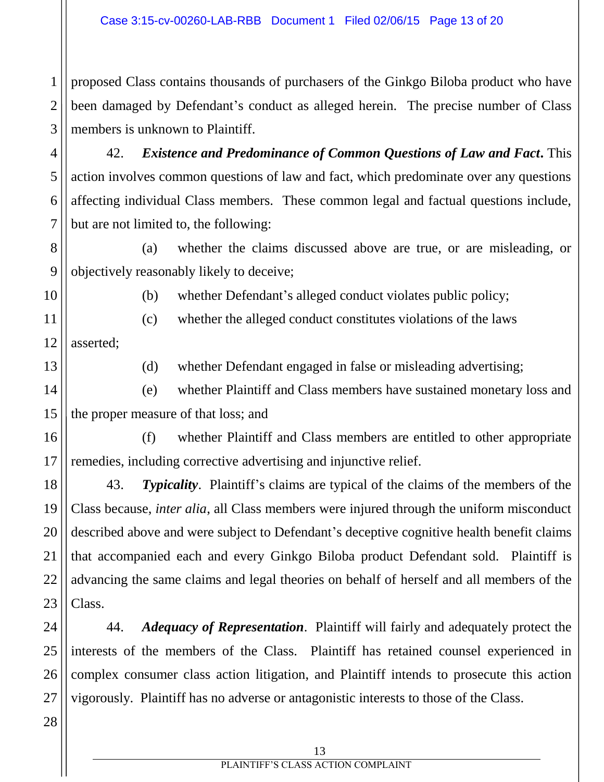1 2 3 proposed Class contains thousands of purchasers of the Ginkgo Biloba product who have been damaged by Defendant's conduct as alleged herein. The precise number of Class members is unknown to Plaintiff.

42. *Existence and Predominance of Common Questions of Law and Fact***.** This action involves common questions of law and fact, which predominate over any questions affecting individual Class members. These common legal and factual questions include, but are not limited to, the following:

8 9 (a) whether the claims discussed above are true, or are misleading, or objectively reasonably likely to deceive;

10

11

4

5

6

7

(b) whether Defendant's alleged conduct violates public policy;

(c) whether the alleged conduct constitutes violations of the laws

12 asserted;

13

(d) whether Defendant engaged in false or misleading advertising;

14 15 (e) whether Plaintiff and Class members have sustained monetary loss and the proper measure of that loss; and

16 17 (f) whether Plaintiff and Class members are entitled to other appropriate remedies, including corrective advertising and injunctive relief.

18 19 20 21 22 23 43. *Typicality*. Plaintiff's claims are typical of the claims of the members of the Class because, *inter alia*, all Class members were injured through the uniform misconduct described above and were subject to Defendant's deceptive cognitive health benefit claims that accompanied each and every Ginkgo Biloba product Defendant sold. Plaintiff is advancing the same claims and legal theories on behalf of herself and all members of the Class.

24 44. *Adequacy of Representation*. Plaintiff will fairly and adequately protect the interests of the members of the Class. Plaintiff has retained counsel experienced in complex consumer class action litigation, and Plaintiff intends to prosecute this action vigorously. Plaintiff has no adverse or antagonistic interests to those of the Class.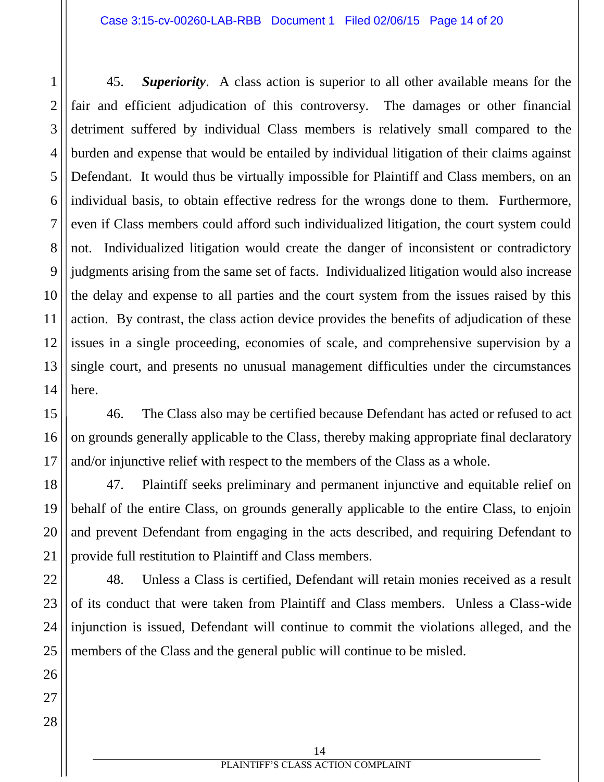45. *Superiority*. A class action is superior to all other available means for the fair and efficient adjudication of this controversy. The damages or other financial detriment suffered by individual Class members is relatively small compared to the burden and expense that would be entailed by individual litigation of their claims against Defendant. It would thus be virtually impossible for Plaintiff and Class members, on an individual basis, to obtain effective redress for the wrongs done to them. Furthermore, even if Class members could afford such individualized litigation, the court system could not. Individualized litigation would create the danger of inconsistent or contradictory judgments arising from the same set of facts. Individualized litigation would also increase the delay and expense to all parties and the court system from the issues raised by this action. By contrast, the class action device provides the benefits of adjudication of these issues in a single proceeding, economies of scale, and comprehensive supervision by a single court, and presents no unusual management difficulties under the circumstances here.

46. The Class also may be certified because Defendant has acted or refused to act on grounds generally applicable to the Class, thereby making appropriate final declaratory and/or injunctive relief with respect to the members of the Class as a whole.

47. Plaintiff seeks preliminary and permanent injunctive and equitable relief on behalf of the entire Class, on grounds generally applicable to the entire Class, to enjoin and prevent Defendant from engaging in the acts described, and requiring Defendant to provide full restitution to Plaintiff and Class members.

48. Unless a Class is certified, Defendant will retain monies received as a result of its conduct that were taken from Plaintiff and Class members. Unless a Class-wide injunction is issued, Defendant will continue to commit the violations alleged, and the members of the Class and the general public will continue to be misled.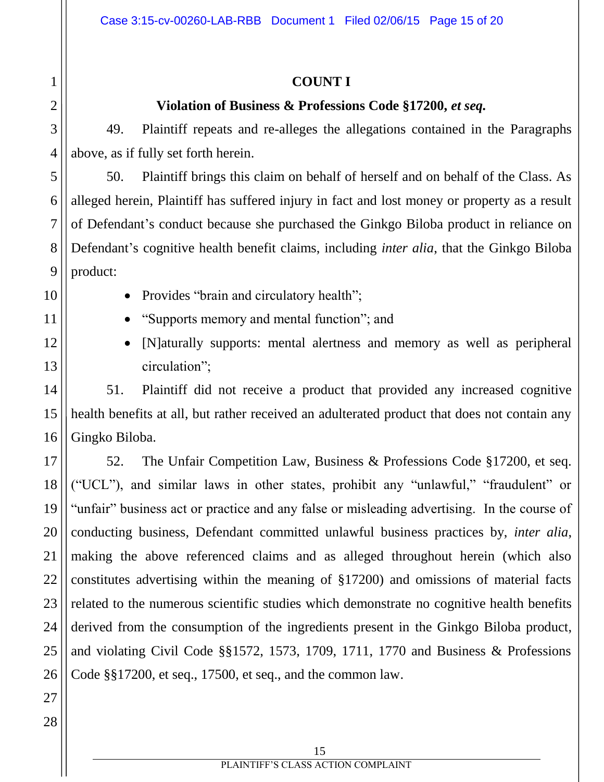## **COUNT I**

## **Violation of Business & Professions Code §17200,** *et seq.*

49. Plaintiff repeats and re-alleges the allegations contained in the Paragraphs above, as if fully set forth herein.

50. Plaintiff brings this claim on behalf of herself and on behalf of the Class. As alleged herein, Plaintiff has suffered injury in fact and lost money or property as a result of Defendant's conduct because she purchased the Ginkgo Biloba product in reliance on Defendant's cognitive health benefit claims, including *inter alia*, that the Ginkgo Biloba product:

1

2

3

4

5

6

7

8

9

10

- Provides "brain and circulatory health";
- "Supports memory and mental function"; and
- [N]aturally supports: mental alertness and memory as well as peripheral circulation";

51. Plaintiff did not receive a product that provided any increased cognitive health benefits at all, but rather received an adulterated product that does not contain any Gingko Biloba.

52. The Unfair Competition Law, Business & Professions Code §17200, et seq. ("UCL"), and similar laws in other states, prohibit any "unlawful," "fraudulent" or "unfair" business act or practice and any false or misleading advertising. In the course of conducting business, Defendant committed unlawful business practices by, *inter alia*, making the above referenced claims and as alleged throughout herein (which also constitutes advertising within the meaning of §17200) and omissions of material facts related to the numerous scientific studies which demonstrate no cognitive health benefits derived from the consumption of the ingredients present in the Ginkgo Biloba product, and violating Civil Code §§1572, 1573, 1709, 1711, 1770 and Business & Professions Code §§17200, et seq., 17500, et seq., and the common law.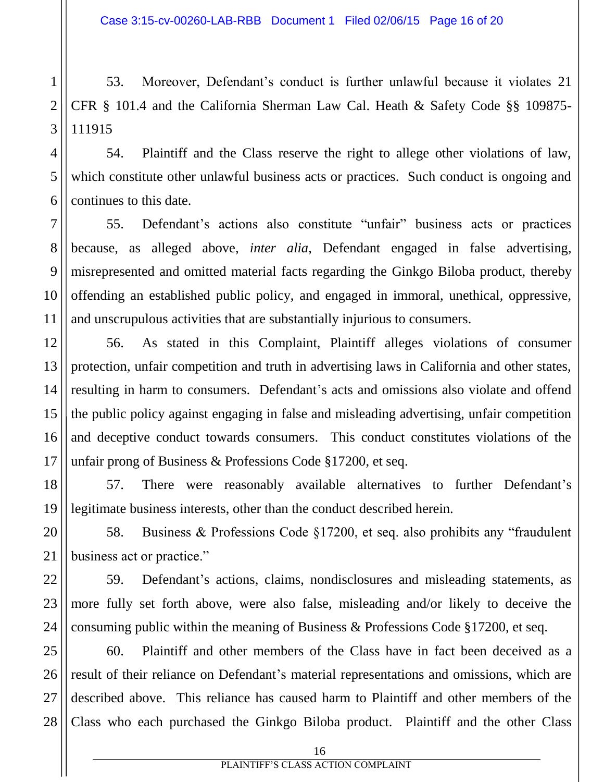Case 3:15-cv-00260-LAB-RBB Document 1 Filed 02/06/15 Page 16 of 20

53. Moreover, Defendant's conduct is further unlawful because it violates 21 CFR § 101.4 and the California Sherman Law Cal. Heath & Safety Code §§ 109875- 111915

54. Plaintiff and the Class reserve the right to allege other violations of law, which constitute other unlawful business acts or practices. Such conduct is ongoing and continues to this date.

55. Defendant's actions also constitute "unfair" business acts or practices because, as alleged above, *inter alia*, Defendant engaged in false advertising, misrepresented and omitted material facts regarding the Ginkgo Biloba product, thereby offending an established public policy, and engaged in immoral, unethical, oppressive, and unscrupulous activities that are substantially injurious to consumers.

56. As stated in this Complaint, Plaintiff alleges violations of consumer protection, unfair competition and truth in advertising laws in California and other states, resulting in harm to consumers. Defendant's acts and omissions also violate and offend the public policy against engaging in false and misleading advertising, unfair competition and deceptive conduct towards consumers. This conduct constitutes violations of the unfair prong of Business & Professions Code §17200, et seq.

57. There were reasonably available alternatives to further Defendant's legitimate business interests, other than the conduct described herein.

58. Business & Professions Code §17200, et seq. also prohibits any "fraudulent business act or practice."

59. Defendant's actions, claims, nondisclosures and misleading statements, as more fully set forth above, were also false, misleading and/or likely to deceive the consuming public within the meaning of Business & Professions Code §17200, et seq.

60. Plaintiff and other members of the Class have in fact been deceived as a result of their reliance on Defendant's material representations and omissions, which are described above. This reliance has caused harm to Plaintiff and other members of the Class who each purchased the Ginkgo Biloba product. Plaintiff and the other Class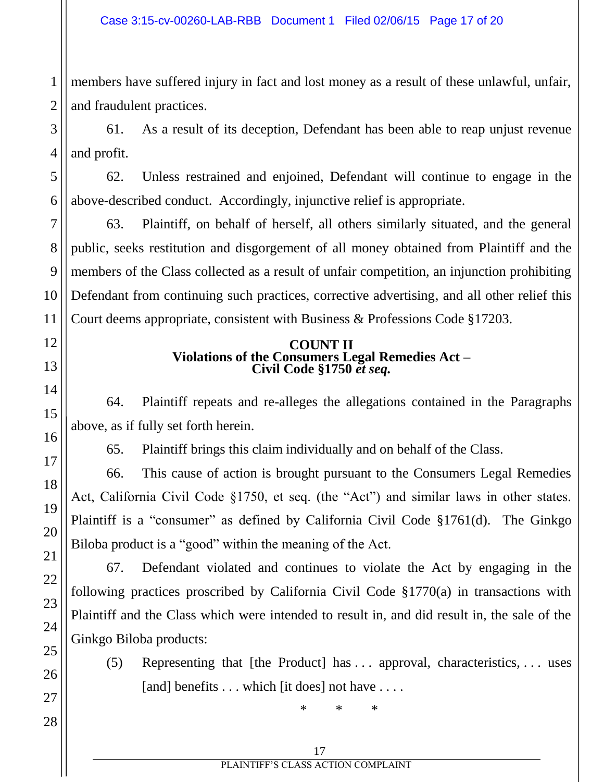1 2 members have suffered injury in fact and lost money as a result of these unlawful, unfair, and fraudulent practices.

3 4 61. As a result of its deception, Defendant has been able to reap unjust revenue and profit.

62. Unless restrained and enjoined, Defendant will continue to engage in the above-described conduct. Accordingly, injunctive relief is appropriate.

63. Plaintiff, on behalf of herself, all others similarly situated, and the general public, seeks restitution and disgorgement of all money obtained from Plaintiff and the members of the Class collected as a result of unfair competition, an injunction prohibiting Defendant from continuing such practices, corrective advertising, and all other relief this Court deems appropriate, consistent with Business & Professions Code §17203.

#### **COUNT II Violations of the Consumers Legal Remedies Act – Civil Code §1750** *et seq.*

64. Plaintiff repeats and re-alleges the allegations contained in the Paragraphs above, as if fully set forth herein.

65. Plaintiff brings this claim individually and on behalf of the Class.

66. This cause of action is brought pursuant to the Consumers Legal Remedies Act, California Civil Code §1750, et seq. (the "Act") and similar laws in other states. Plaintiff is a "consumer" as defined by California Civil Code §1761(d). The Ginkgo Biloba product is a "good" within the meaning of the Act.

67. Defendant violated and continues to violate the Act by engaging in the following practices proscribed by California Civil Code §1770(a) in transactions with Plaintiff and the Class which were intended to result in, and did result in, the sale of the Ginkgo Biloba products:

(5) Representing that [the Product] has . . . approval, characteristics, . . . uses [and] benefits . . . which [it does] not have . . . .

\* \* \*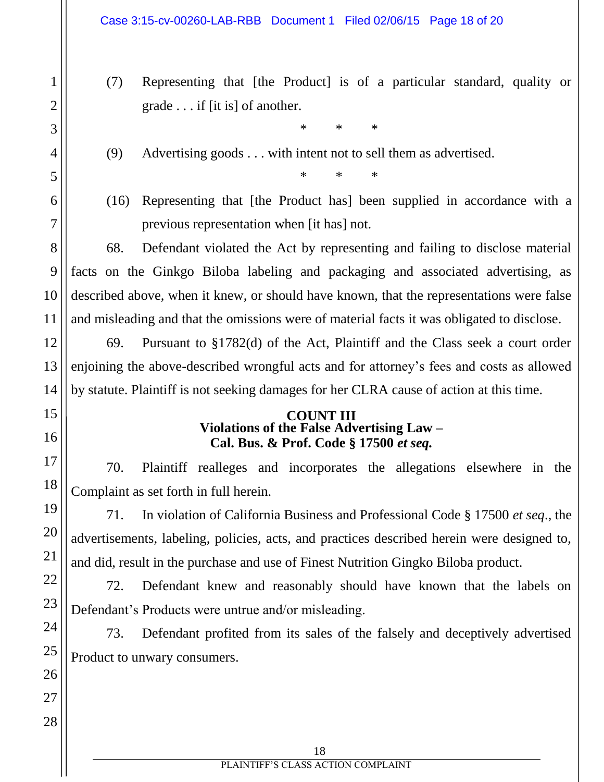- (7) Representing that [the Product] is of a particular standard, quality or grade . . . if [it is] of another.
	- \* \* \*
- (9) Advertising goods . . . with intent not to sell them as advertised.

\* \* \*

(16) Representing that [the Product has] been supplied in accordance with a previous representation when [it has] not.

68. Defendant violated the Act by representing and failing to disclose material facts on the Ginkgo Biloba labeling and packaging and associated advertising, as described above, when it knew, or should have known, that the representations were false and misleading and that the omissions were of material facts it was obligated to disclose.

69. Pursuant to §1782(d) of the Act, Plaintiff and the Class seek a court order enjoining the above-described wrongful acts and for attorney's fees and costs as allowed by statute. Plaintiff is not seeking damages for her CLRA cause of action at this time.

#### **COUNT III Violations of the False Advertising Law – Cal. Bus. & Prof. Code § 17500** *et seq.*

70. Plaintiff realleges and incorporates the allegations elsewhere in the Complaint as set forth in full herein.

71. In violation of California Business and Professional Code § 17500 *et seq*., the advertisements, labeling, policies, acts, and practices described herein were designed to, and did, result in the purchase and use of Finest Nutrition Gingko Biloba product.

72. Defendant knew and reasonably should have known that the labels on Defendant's Products were untrue and/or misleading.

73. Defendant profited from its sales of the falsely and deceptively advertised Product to unwary consumers.

1

2

3

4

5

6

7

8

9

10

11

12

13

14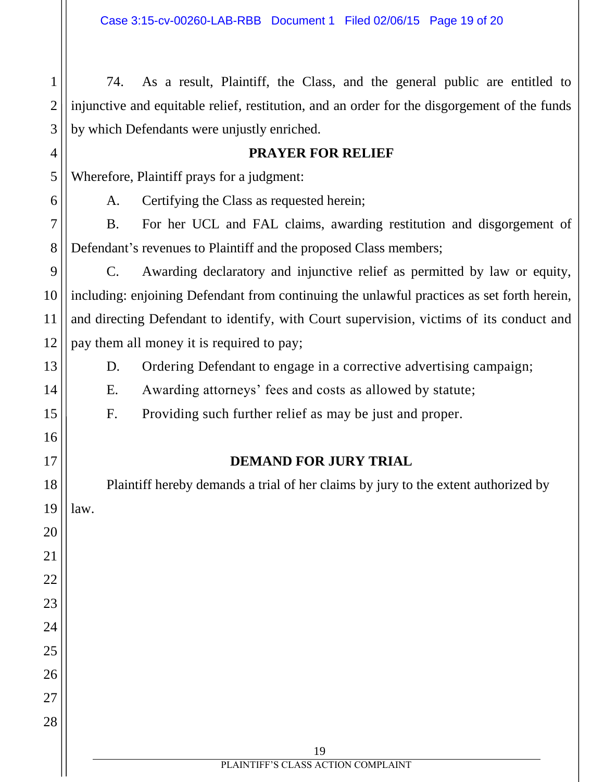74. As a result, Plaintiff, the Class, and the general public are entitled to injunctive and equitable relief, restitution, and an order for the disgorgement of the funds by which Defendants were unjustly enriched.

#### **PRAYER FOR RELIEF**

Wherefore, Plaintiff prays for a judgment:

A. Certifying the Class as requested herein;

B. For her UCL and FAL claims, awarding restitution and disgorgement of Defendant's revenues to Plaintiff and the proposed Class members;

C. Awarding declaratory and injunctive relief as permitted by law or equity, including: enjoining Defendant from continuing the unlawful practices as set forth herein, and directing Defendant to identify, with Court supervision, victims of its conduct and pay them all money it is required to pay;

D. Ordering Defendant to engage in a corrective advertising campaign;

E. Awarding attorneys' fees and costs as allowed by statute;

F. Providing such further relief as may be just and proper.

## **DEMAND FOR JURY TRIAL**

Plaintiff hereby demands a trial of her claims by jury to the extent authorized by law.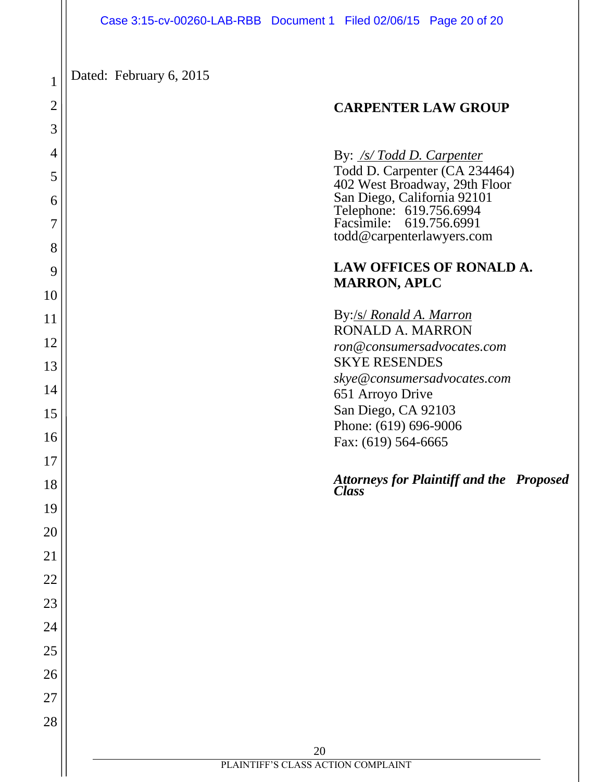#### Case 3:15-cv-00260-LAB-RBB Document 1 Filed 02/06/15 Page 20 of 20

Dated: February 6, 2015

1

2

3

4

5

6

7

8

9

10

11

12

13

14

15

16

17

18

19

20

21

22

23

24

25

26

27

28

#### **CARPENTER LAW GROUP**

By: */s/ Todd D. Carpenter*

Todd D. Carpenter (CA 234464) 402 West Broadway, 29th Floor San Diego, California 92101 Telephone: 619.756.6994 Facsimile: 619.756.6991 todd@carpenterlawyers.com

#### **LAW OFFICES OF RONALD A. MARRON, APLC**

By:/s/ *Ronald A. Marron* RONALD A. MARRON *ron@consumersadvocates.com* SKYE RESENDES *skye@consumersadvocates.com* 651 Arroyo Drive San Diego, CA 92103 Phone: (619) 696-9006 Fax: (619) 564-6665

#### *Attorneys for Plaintiff and the Proposed Class*